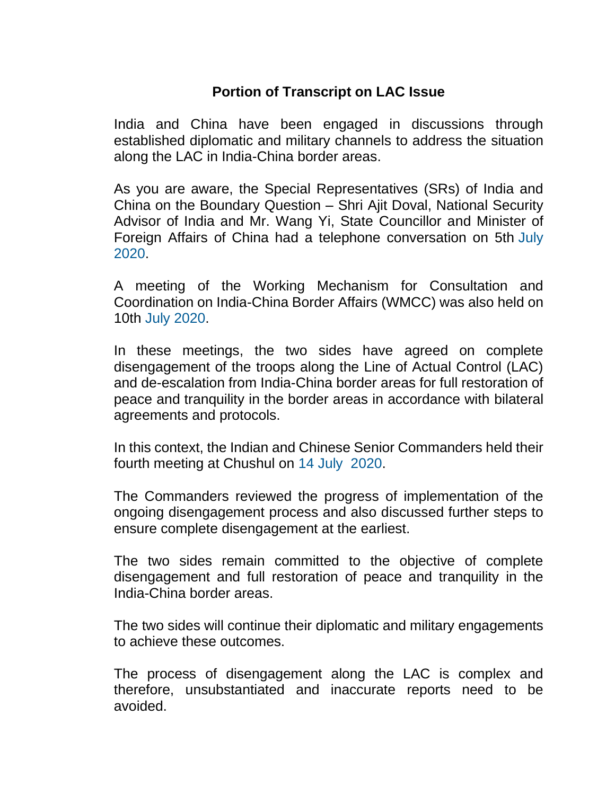## **Portion of Transcript on LAC Issue**

India and China have been engaged in discussions through established diplomatic and military channels to address the situation along the LAC in India-China border areas.

As you are aware, the Special Representatives (SRs) of India and China on the Boundary Question – Shri Ajit Doval, National Security Advisor of India and Mr. Wang Yi, State Councillor and Minister of Foreign Affairs of China had a telephone conversation on 5th July 2020.

A meeting of the Working Mechanism for Consultation and Coordination on India-China Border Affairs (WMCC) was also held on 10th July 2020.

In these meetings, the two sides have agreed on complete disengagement of the troops along the Line of Actual Control (LAC) and de-escalation from India-China border areas for full restoration of peace and tranquility in the border areas in accordance with bilateral agreements and protocols.

In this context, the Indian and Chinese Senior Commanders held their fourth meeting at Chushul on 14 July 2020.

The Commanders reviewed the progress of implementation of the ongoing disengagement process and also discussed further steps to ensure complete disengagement at the earliest.

The two sides remain committed to the objective of complete disengagement and full restoration of peace and tranquility in the India-China border areas.

The two sides will continue their diplomatic and military engagements to achieve these outcomes.

The process of disengagement along the LAC is complex and therefore, unsubstantiated and inaccurate reports need to be avoided.